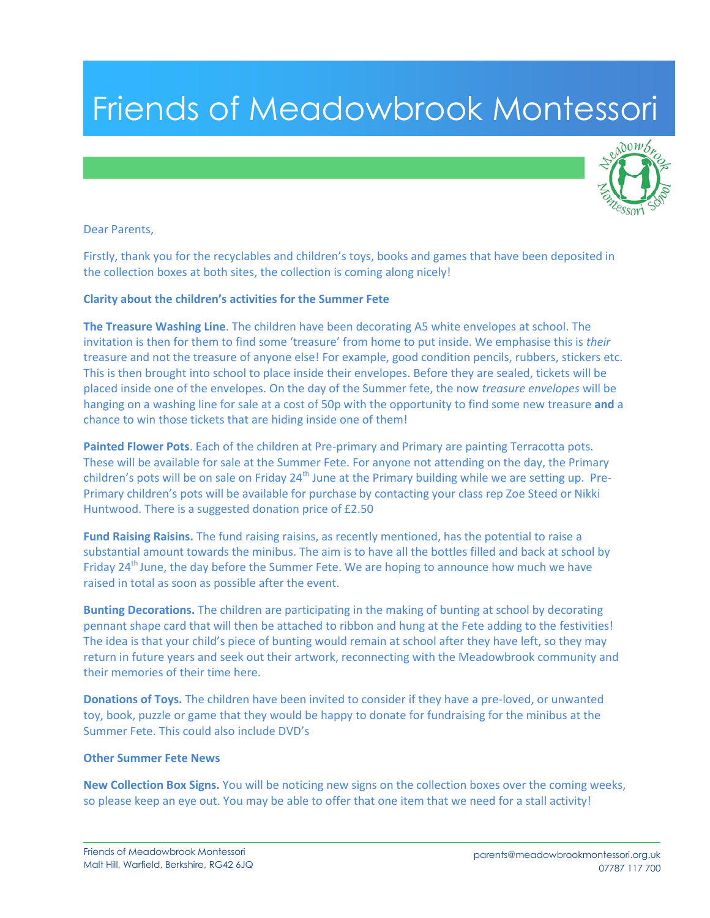## Friends of Meadowbrook Montessori



## Dear Parents,

Firstly, thank you for the recyclables and children's toys, books and games that have been deposited in the collection boxes at both sites, the collection is coming along nicely!

## **Clarity about the children's activities for the Summer Fete**

**The Treasure Washing Line**. The children have been decorating A5 white envelopes at school. The invitation is then for them to find some 'treasure' from home to put inside. We emphasise this is *their*  treasure and not the treasure of anyone else! For example, good condition pencils, rubbers, stickers etc. This is then brought into school to place inside their envelopes. Before they are sealed, tickets will be placed inside one of the envelopes. On the day of the Summer fete, the now *treasure envelopes* will be hanging on a washing line for sale at a cost of 50p with the opportunity to find some new treasure **and** a chance to win those tickets that are hiding inside one of them!

**Painted Flower Pots**. Each of the children at Pre-primary and Primary are painting Terracotta pots. These will be available for sale at the Summer Fete. For anyone not attending on the day, the Primary children's pots will be on sale on Friday 24<sup>th</sup> June at the Primary building while we are setting up. Pre-Primary children's pots will be available for purchase by contacting your class rep Zoe Steed or Nikki Huntwood. There is a suggested donation price of £2.50

**Fund Raising Raisins.** The fund raising raisins, as recently mentioned, has the potential to raise a substantial amount towards the minibus. The aim is to have all the bottles filled and back at school by Friday 24<sup>th</sup> June, the day before the Summer Fete. We are hoping to announce how much we have raised in total as soon as possible after the event.

**Bunting Decorations.** The children are participating in the making of bunting at school by decorating pennant shape card that will then be attached to ribbon and hung at the Fete adding to the festivities! The idea is that your child's piece of bunting would remain at school after they have left, so they may return in future years and seek out their artwork, reconnecting with the Meadowbrook community and their memories of their time here.

**Donations of Toys.** The children have been invited to consider if they have a pre-loved, or unwanted toy, book, puzzle or game that they would be happy to donate for fundraising for the minibus at the Summer Fete. This could also include DVD's

## **Other Summer Fete News**

**New Collection Box Signs.** You will be noticing new signs on the collection boxes over the coming weeks, so please keep an eye out. You may be able to offer that one item that we need for a stall activity!